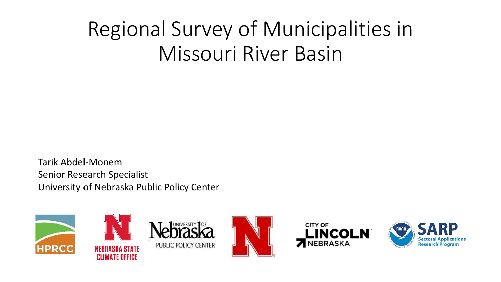## Regional Survey of Municipalities in Missouri River Basin

Tarik Abdel-Monem Senior Research Specialist University of Nebraska Public Policy Center

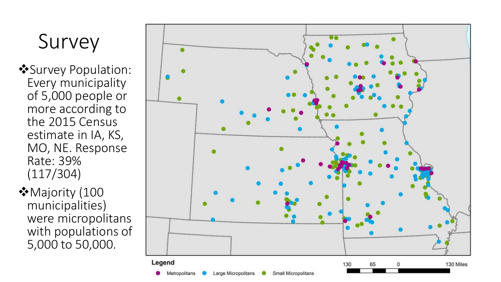# Survey

- Survey Population: Every municipality of 5,000 people or more according to the 2015 Census estimate in IA, KS, MO, NE. Response Rate: 39% (117/304)
- ◆ Majority (100 municipalities) were micropolitans with populations of 5,000 to 50,000.

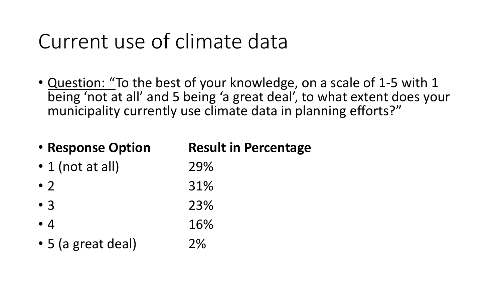## Current use of climate data

• Question: "To the best of your knowledge, on a scale of 1-5 with 1 being 'not at all' and 5 being 'a great deal', to what extent does your municipality currently use climate data in planning efforts?"

| • Response Option      | <b>Result in Percentage</b> |
|------------------------|-----------------------------|
| $\cdot$ 1 (not at all) | 29%                         |
| $\bullet$ )            | 31%                         |
| $\bullet$ 3            | 23%                         |
| $\bullet$ 4            | 16%                         |
| • 5 (a great deal)     | 2%                          |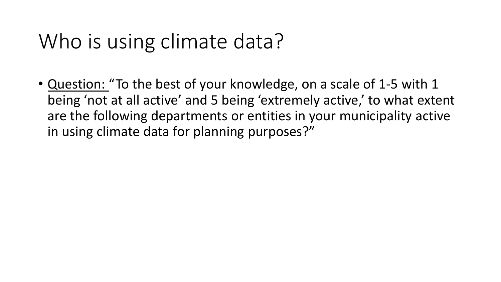### Who is using climate data?

• Question: "To the best of your knowledge, on a scale of 1-5 with 1 being 'not at all active' and 5 being 'extremely active,' to what extent are the following departments or entities in your municipality active in using climate data for planning purposes?"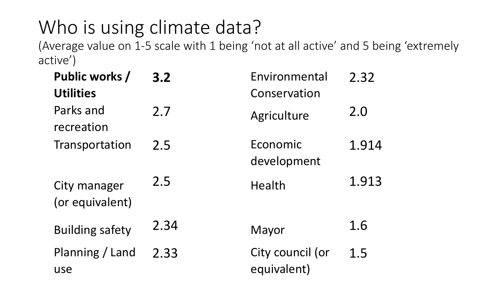## Who is using climate data?

(Average value on 1-5 scale with 1 being 'not at all active' and 5 being 'extremely active')

| Public works /<br><b>Utilities</b> | 3.2  | Environmental<br>Conservation   | 2.32  |
|------------------------------------|------|---------------------------------|-------|
| Parks and<br>recreation            | 2.7  | Agriculture                     | 2.0   |
| Transportation                     | 2.5  | Economic<br>development         | 1.914 |
| City manager<br>(or equivalent)    | 2.5  | Health                          | 1.913 |
| <b>Building safety</b>             | 2.34 | Mayor                           | 1.6   |
| Planning / Land<br>use             | 2.33 | City council (or<br>equivalent) | 1.5   |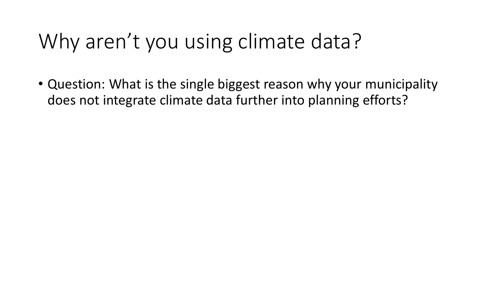# Why aren't you using climate data?

• Question: What is the single biggest reason why your municipality does not integrate climate data further into planning efforts?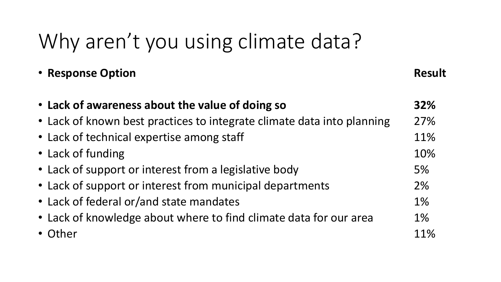# Why aren't you using climate data?

| • Response Option                                                      | <b>Result</b> |
|------------------------------------------------------------------------|---------------|
| • Lack of awareness about the value of doing so                        | 32%           |
| • Lack of known best practices to integrate climate data into planning | 27%           |
| • Lack of technical expertise among staff                              | 11%           |
| • Lack of funding                                                      | 10%           |
| • Lack of support or interest from a legislative body                  | 5%            |
| • Lack of support or interest from municipal departments               | 2%            |
| • Lack of federal or/and state mandates                                | 1%            |
| • Lack of knowledge about where to find climate data for our area      | 1%            |
| • Other                                                                | 11%           |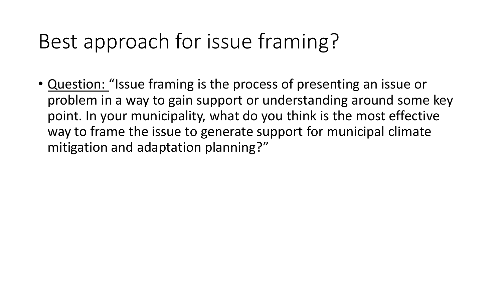## Best approach for issue framing?

• Question: "Issue framing is the process of presenting an issue or problem in a way to gain support or understanding around some key point. In your municipality, what do you think is the most effective way to frame the issue to generate support for municipal climate mitigation and adaptation planning?"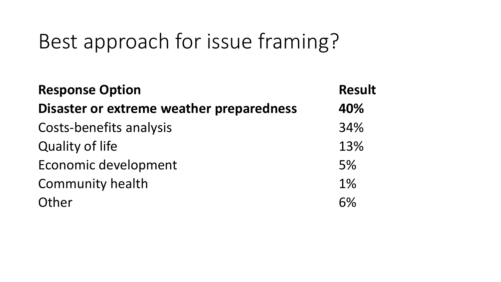### Best approach for issue framing?

| <b>Response Option</b>                   | <b>Result</b><br>40% |
|------------------------------------------|----------------------|
| Disaster or extreme weather preparedness |                      |
| Costs-benefits analysis                  | 34%                  |
| <b>Quality of life</b>                   | 13%                  |
| Economic development                     | 5%                   |
| Community health                         | 1%                   |
| Other                                    | 6%                   |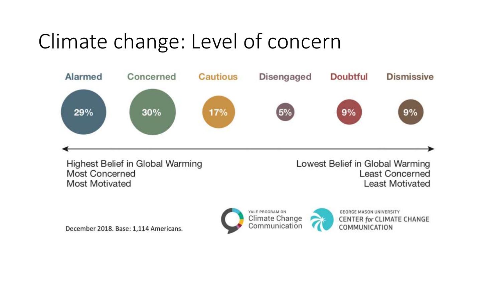

December 2018. Base: 1,114 Americans.



**GEORGE MASON UNIVERSITY CENTER for CLIMATE CHANGE** COMMUNICATION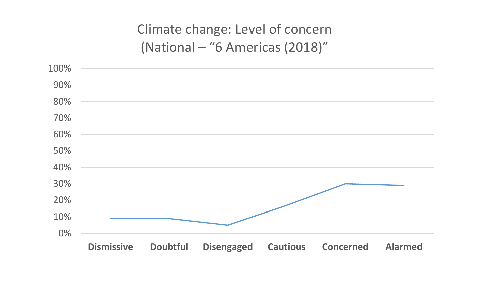#### Climate change: Level of concern (National – "6 Americas (2018)"

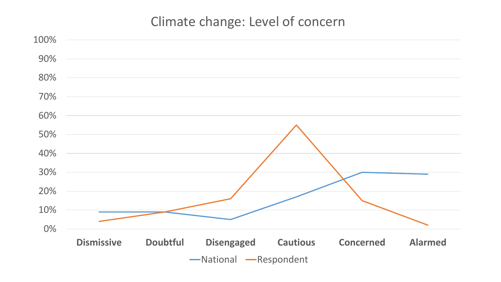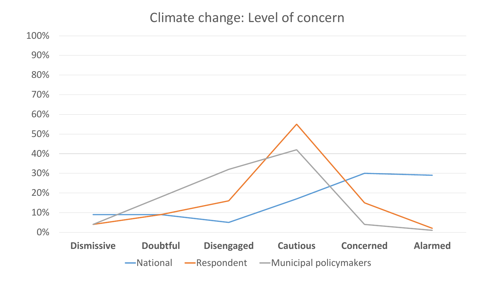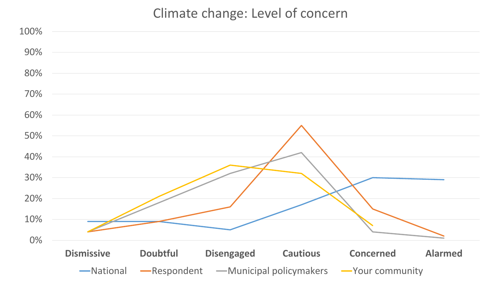